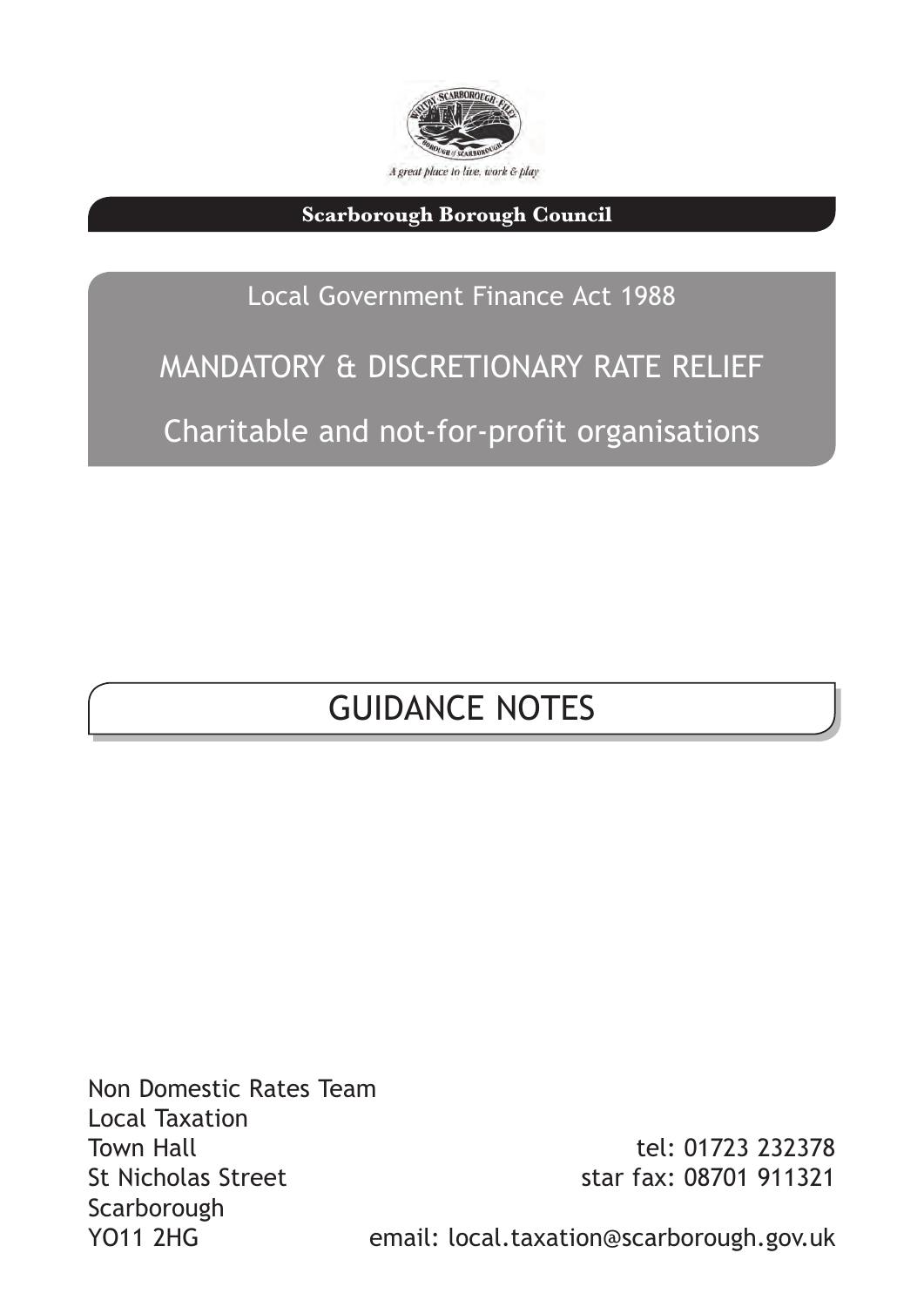

**Scarborough Borough Council** 

### Local Government Finance Act 1988

# MANDATORY & DISCRETIONARY RATE RELIEF Charitable and not-for-profit organisations

## GUIDANCE NOTES

Non Domestic Rates Team Local Taxation Town Hall St Nicholas Street Scarborough YO11 2HG

tel: 01723 232378 star fax: 08701 911321

email: local.taxation@scarborough.gov.uk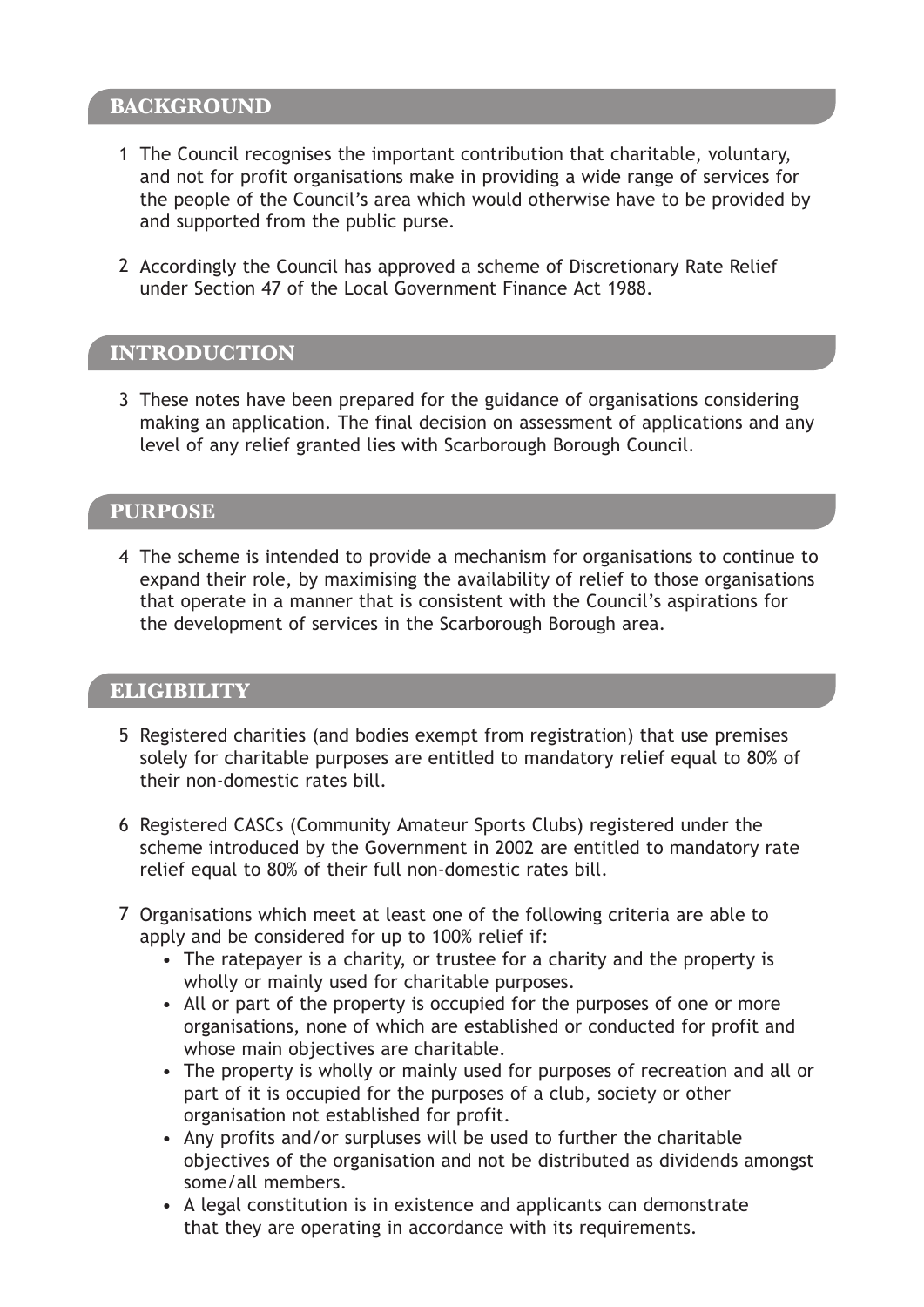#### **BACKGROUND**

- 1 The Council recognises the important contribution that charitable, voluntary, and not for profit organisations make in providing a wide range of services for the people of the Council's area which would otherwise have to be provided by and supported from the public purse.
- 2 Accordingly the Council has approved a scheme of Discretionary Rate Relief under Section 47 of the Local Government Finance Act 1988.

#### **INTRODUCTION**

3 These notes have been prepared for the guidance of organisations considering making an application. The final decision on assessment of applications and any level of any relief granted lies with Scarborough Borough Council.

#### **PURPOSE**

4 The scheme is intended to provide a mechanism for organisations to continue to expand their role, by maximising the availability of relief to those organisations that operate in a manner that is consistent with the Council's aspirations for the development of services in the Scarborough Borough area.

#### **ELIGIBILITY**

- 5 Registered charities (and bodies exempt from registration) that use premises solely for charitable purposes are entitled to mandatory relief equal to 80% of their non-domestic rates bill.
- 6 Registered CASCs (Community Amateur Sports Clubs) registered under the scheme introduced by the Government in 2002 are entitled to mandatory rate relief equal to 80% of their full non-domestic rates bill.
- 7 Organisations which meet at least one of the following criteria are able to apply and be considered for up to 100% relief if:
	- The ratepayer is a charity, or trustee for a charity and the property is wholly or mainly used for charitable purposes.
	- All or part of the property is occupied for the purposes of one or more organisations, none of which are established or conducted for profit and whose main objectives are charitable.
	- The property is wholly or mainly used for purposes of recreation and all or part of it is occupied for the purposes of a club, society or other organisation not established for profit.
	- Any profits and/or surpluses will be used to further the charitable objectives of the organisation and not be distributed as dividends amongst some/all members.
	- A legal constitution is in existence and applicants can demonstrate that they are operating in accordance with its requirements.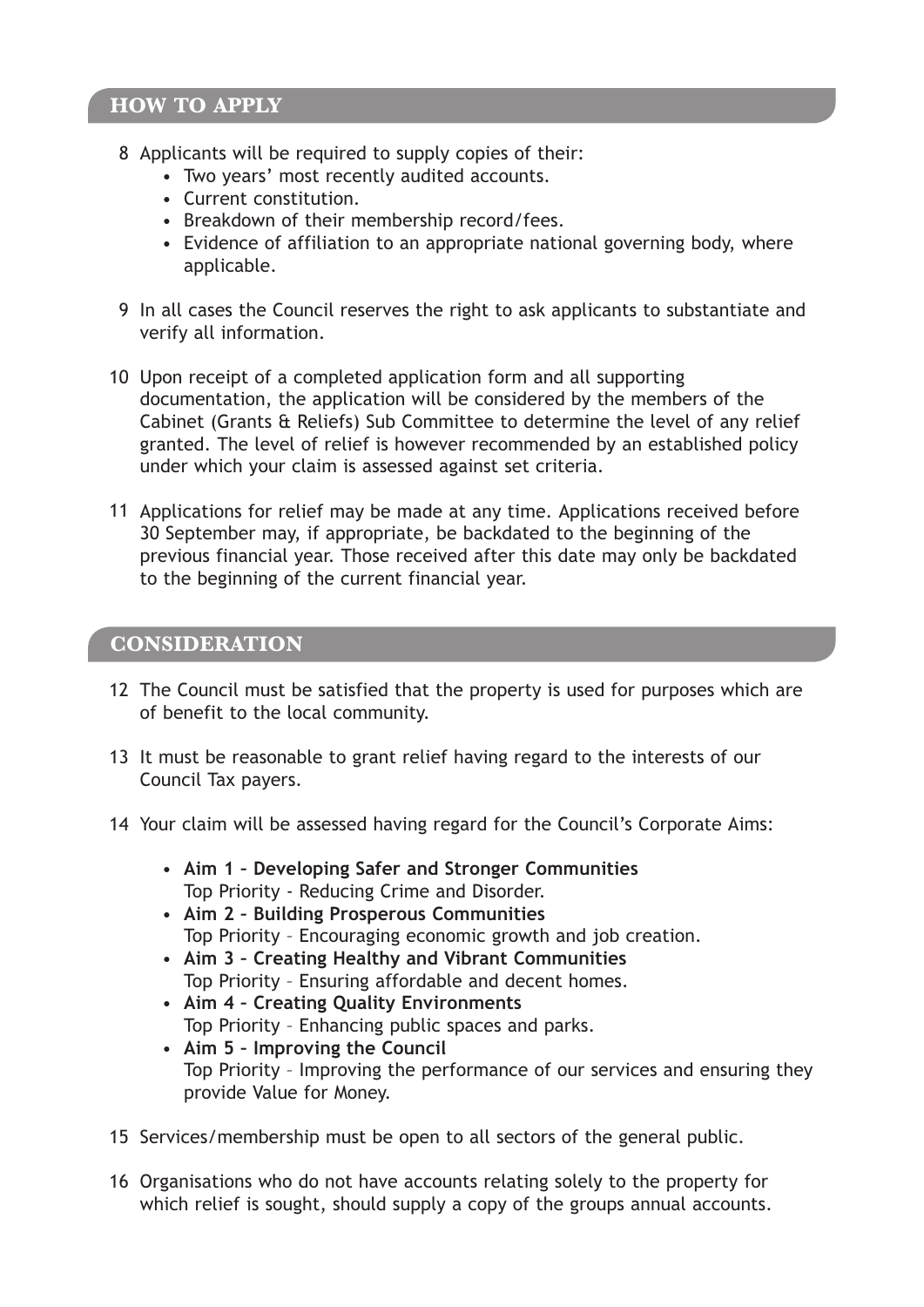#### **HOW TO APPLY**

- 8 Applicants will be required to supply copies of their:
	- Two years' most recently audited accounts.
	- Current constitution.
	- Breakdown of their membership record/fees.
	- Evidence of affiliation to an appropriate national governing body, where applicable.
- 9 In all cases the Council reserves the right to ask applicants to substantiate and verify all information.
- 10 Upon receipt of a completed application form and all supporting documentation, the application will be considered by the members of the Cabinet (Grants & Reliefs) Sub Committee to determine the level of any relief granted. The level of relief is however recommended by an established policy under which your claim is assessed against set criteria.
- 11 Applications for relief may be made at any time. Applications received before 30 September may, if appropriate, be backdated to the beginning of the previous financial year. Those received after this date may only be backdated to the beginning of the current financial year.

#### CONSIDERATION **CONSIDERATION**

- 12 The Council must be satisfied that the property is used for purposes which are of benefit to the local community.
- 13 It must be reasonable to grant relief having regard to the interests of our Council Tax payers.
- 14 Your claim will be assessed having regard for the Council's Corporate Aims:
	- **Aim 1 Developing Safer and Stronger Communities**  Top Priority - Reducing Crime and Disorder.
	- **Aim 2 Building Prosperous Communities**  Top Priority – Encouraging economic growth and job creation.
	- **Aim 3 Creating Healthy and Vibrant Communities**  Top Priority – Ensuring affordable and decent homes.
	- **Aim 4 Creating Quality Environments**  Top Priority – Enhancing public spaces and parks.
	- **Aim 5 Improving the Council**  Top Priority – Improving the performance of our services and ensuring they provide Value for Money.
- 15 Services/membership must be open to all sectors of the general public.
- 16 Organisations who do not have accounts relating solely to the property for which relief is sought, should supply a copy of the groups annual accounts.